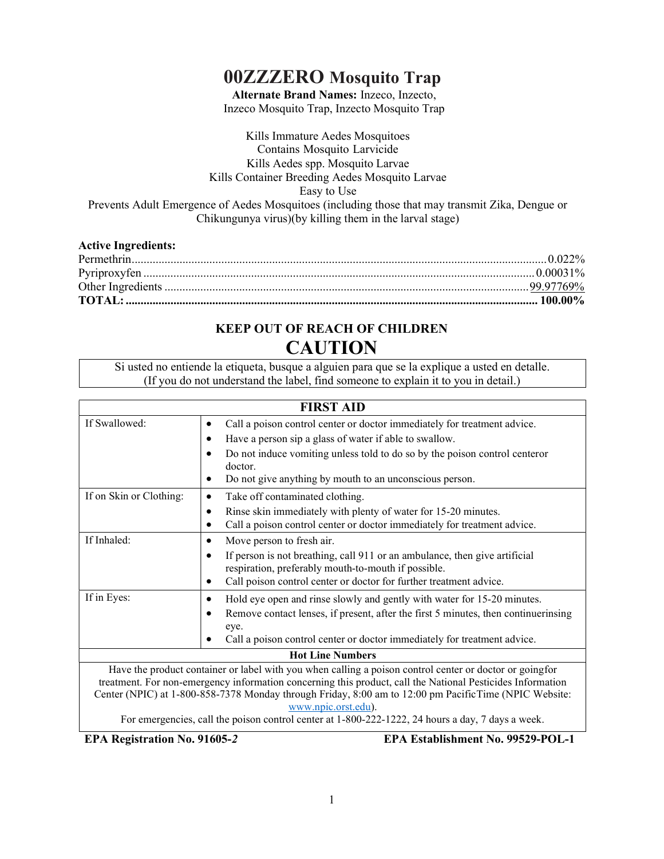# 00ZZZERO Mosquito Trap

Alternate Brand Names: Inzeco, Inzecto, Inzeco Mosquito Trap, Inzecto Mosquito Trap

Kills Immature Aedes Mosquitoes Contains Mosquito Larvicide Kills Aedes spp. Mosquito Larvae Kills Container Breeding Aedes Mosquito Larvae Easy to Use Prevents Adult Emergence of Aedes Mosquitoes (including those that may transmit Zika, Dengue or Chikungunya virus)(by killing them in the larval stage)

| <b>Active Ingredients:</b> |  |
|----------------------------|--|
|                            |  |
|                            |  |
|                            |  |
|                            |  |

# KEEP OUT OF REACH OF CHILDREN **CAUTION**

Si usted no entiende la etiqueta, busque a alguien para que se la explique a usted en detalle. (If you do not understand the label, find someone to explain it to you in detail.)

| <b>FIRST AID</b>        |                                                                                                                                                                                                                                                                                                                                                                                                                                                             |  |
|-------------------------|-------------------------------------------------------------------------------------------------------------------------------------------------------------------------------------------------------------------------------------------------------------------------------------------------------------------------------------------------------------------------------------------------------------------------------------------------------------|--|
| If Swallowed:           | Call a poison control center or doctor immediately for treatment advice.<br>٠<br>Have a person sip a glass of water if able to swallow.<br>$\bullet$<br>Do not induce vomiting unless told to do so by the poison control centeror<br>٠<br>doctor.<br>Do not give anything by mouth to an unconscious person.<br>٠                                                                                                                                          |  |
| If on Skin or Clothing: | Take off contaminated clothing.<br>٠<br>Rinse skin immediately with plenty of water for 15-20 minutes.<br>٠<br>Call a poison control center or doctor immediately for treatment advice.                                                                                                                                                                                                                                                                     |  |
| If Inhaled:             | Move person to fresh air.<br>٠<br>If person is not breathing, call 911 or an ambulance, then give artificial<br>respiration, preferably mouth-to-mouth if possible.<br>Call poison control center or doctor for further treatment advice.<br>٠                                                                                                                                                                                                              |  |
| If in Eyes:             | Hold eye open and rinse slowly and gently with water for 15-20 minutes.<br>٠<br>Remove contact lenses, if present, after the first 5 minutes, then continuerinsing<br>eye.<br>Call a poison control center or doctor immediately for treatment advice.<br>$\bullet$                                                                                                                                                                                         |  |
| <b>Hot Line Numbers</b> |                                                                                                                                                                                                                                                                                                                                                                                                                                                             |  |
|                         | Have the product container or label with you when calling a poison control center or doctor or going for<br>treatment. For non-emergency information concerning this product, call the National Pesticides Information<br>Center (NPIC) at 1-800-858-7378 Monday through Friday, 8:00 am to 12:00 pm PacificTime (NPIC Website:<br>www.npic.orst.edu).<br>For emergencies, call the poison control center at 1-800-222-1222, 24 hours a day, 7 days a week. |  |

EPA Registration No. 91605-2 EPA Establishment No. 99529-POL-1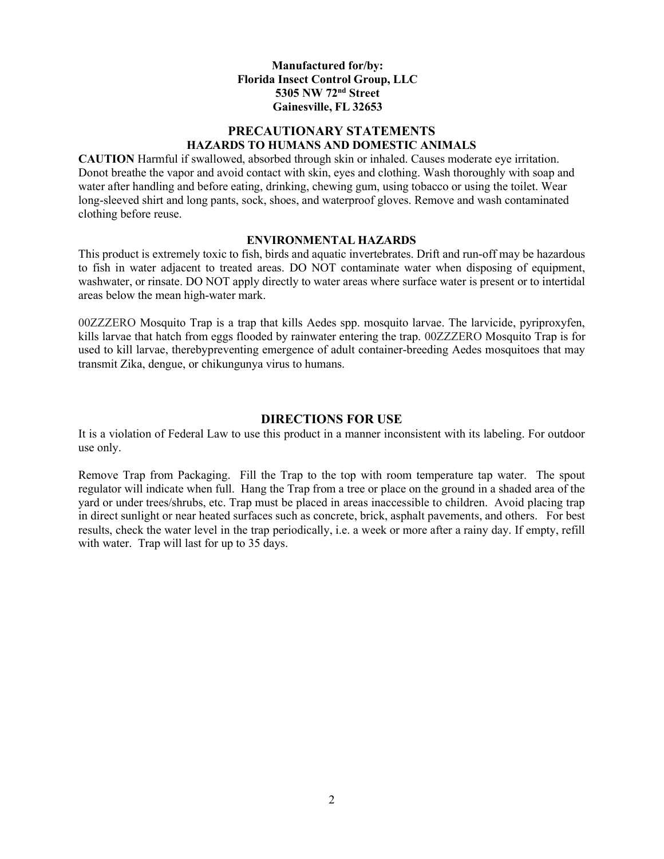#### Manufactured for/by: Florida Insect Control Group, LLC 5305 NW 72nd Street Gainesville, FL 32653

# PRECAUTIONARY STATEMENTS HAZARDS TO HUMANS AND DOMESTIC ANIMALS

CAUTION Harmful if swallowed, absorbed through skin or inhaled. Causes moderate eye irritation. Donot breathe the vapor and avoid contact with skin, eyes and clothing. Wash thoroughly with soap and water after handling and before eating, drinking, chewing gum, using tobacco or using the toilet. Wear long-sleeved shirt and long pants, sock, shoes, and waterproof gloves. Remove and wash contaminated clothing before reuse.

#### ENVIRONMENTAL HAZARDS

This product is extremely toxic to fish, birds and aquatic invertebrates. Drift and run-off may be hazardous to fish in water adjacent to treated areas. DO NOT contaminate water when disposing of equipment, washwater, or rinsate. DO NOT apply directly to water areas where surface water is present or to intertidal areas below the mean high-water mark.

00ZZZERO Mosquito Trap is a trap that kills Aedes spp. mosquito larvae. The larvicide, pyriproxyfen, kills larvae that hatch from eggs flooded by rainwater entering the trap. 00ZZZERO Mosquito Trap is for used to kill larvae, thereby preventing emergence of adult container-breeding Aedes mosquitoes that may transmit Zika, dengue, or chikungunya virus to humans.

### DIRECTIONS FOR USE

It is a violation of Federal Law to use this product in a manner inconsistent with its labeling. For outdoor use only.

Remove Trap from Packaging. Fill the Trap to the top with room temperature tap water. The spout regulator will indicate when full. Hang the Trap from a tree or place on the ground in a shaded area of the yard or under trees/shrubs, etc. Trap must be placed in areas inaccessible to children. Avoid placing trap in direct sunlight or near heated surfaces such as concrete, brick, asphalt pavements, and others. For best results, check the water level in the trap periodically, i.e. a week or more after a rainy day. If empty, refill with water. Trap will last for up to 35 days.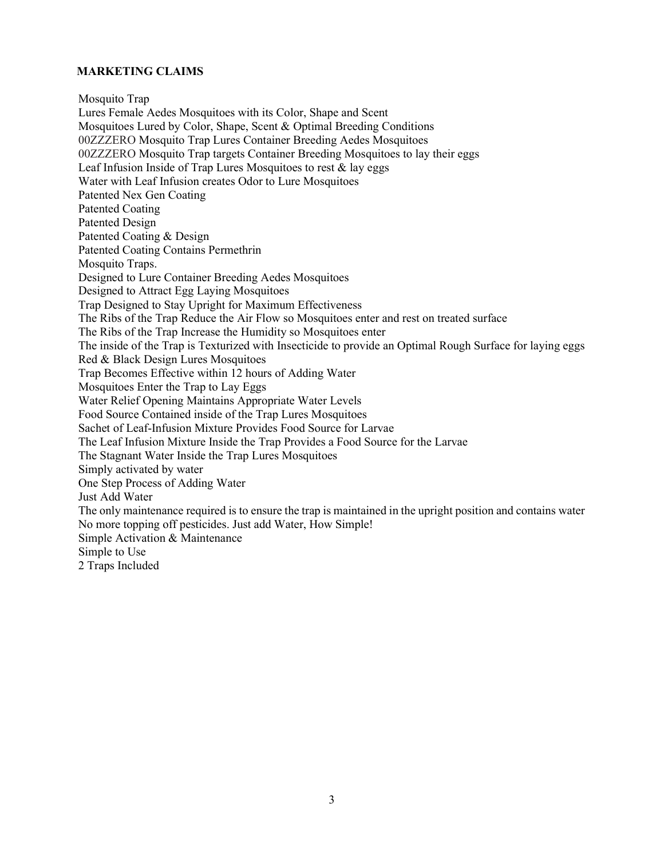### MARKETING CLAIMS

Mosquito Trap

Lures Female Aedes Mosquitoes with its Color, Shape and Scent Mosquitoes Lured by Color, Shape, Scent & Optimal Breeding Conditions 00ZZZERO Mosquito Trap Lures Container Breeding Aedes Mosquitoes 00ZZZERO Mosquito Trap targets Container Breeding Mosquitoes to lay their eggs Leaf Infusion Inside of Trap Lures Mosquitoes to rest  $\&$  lay eggs Water with Leaf Infusion creates Odor to Lure Mosquitoes Patented Nex Gen Coating Patented Coating Patented Design Patented Coating & Design Patented Coating Contains Permethrin Mosquito Traps. Designed to Lure Container Breeding Aedes Mosquitoes Designed to Attract Egg Laying Mosquitoes Trap Designed to Stay Upright for Maximum Effectiveness The Ribs of the Trap Reduce the Air Flow so Mosquitoes enter and rest on treated surface The Ribs of the Trap Increase the Humidity so Mosquitoes enter The inside of the Trap is Texturized with Insecticide to provide an Optimal Rough Surface for laying eggs Red & Black Design Lures Mosquitoes Trap Becomes Effective within 12 hours of Adding Water Mosquitoes Enter the Trap to Lay Eggs Water Relief Opening Maintains Appropriate Water Levels Food Source Contained inside of the Trap Lures Mosquitoes Sachet of Leaf-Infusion Mixture Provides Food Source for Larvae The Leaf Infusion Mixture Inside the Trap Provides a Food Source for the Larvae The Stagnant Water Inside the Trap Lures Mosquitoes Simply activated by water One Step Process of Adding Water Just Add Water The only maintenance required is to ensure the trap is maintained in the upright position and contains water No more topping off pesticides. Just add Water, How Simple! Simple Activation & Maintenance Simple to Use 2 Traps Included